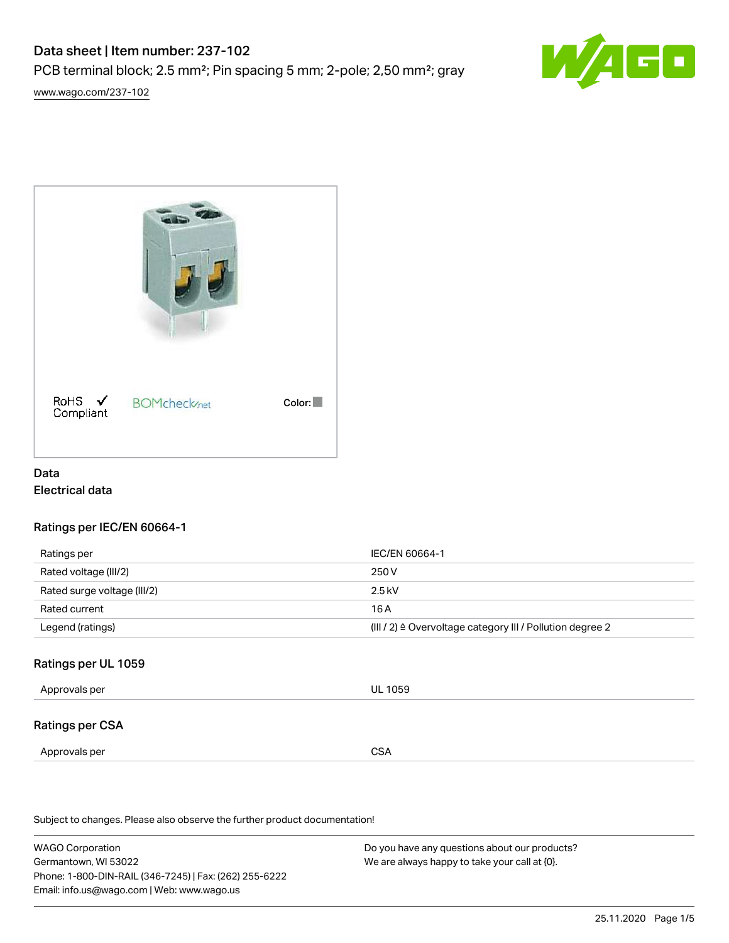# Data sheet | Item number: 237-102 PCB terminal block; 2.5 mm²; Pin spacing 5 mm; 2-pole; 2,50 mm²; gray



[www.wago.com/237-102](http://www.wago.com/237-102)



### Data Electrical data

### Ratings per IEC/EN 60664-1

| Ratings per                 | IEC/EN 60664-1                                                        |
|-----------------------------|-----------------------------------------------------------------------|
| Rated voltage (III/2)       | 250 V                                                                 |
| Rated surge voltage (III/2) | $2.5$ kV                                                              |
| Rated current               | 16 A                                                                  |
| Legend (ratings)            | $(III / 2)$ $\triangle$ Overvoltage category III / Pollution degree 2 |

### Ratings per UL 1059

| Approvals per   | <b>UL 1059</b> |
|-----------------|----------------|
| Ratings per CSA |                |
| Approvals per   | <b>CSA</b>     |

Subject to changes. Please also observe the further product documentation!

WAGO Corporation Germantown, WI 53022 Phone: 1-800-DIN-RAIL (346-7245) | Fax: (262) 255-6222 Email: info.us@wago.com | Web: www.wago.us Do you have any questions about our products? We are always happy to take your call at {0}.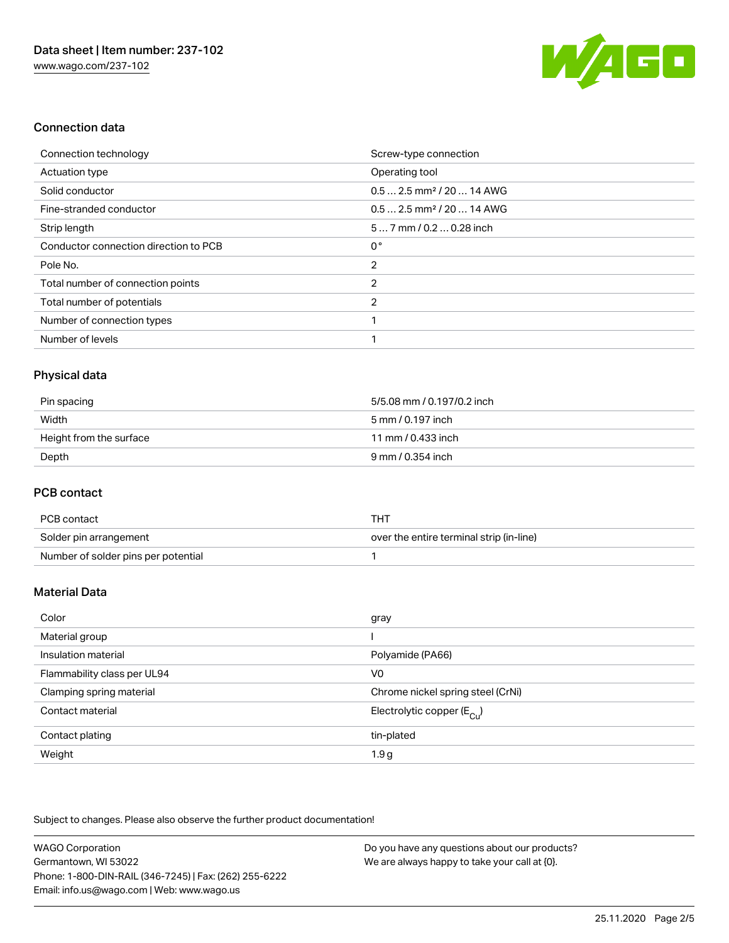

#### Connection data

| Connection technology                 | Screw-type connection                  |
|---------------------------------------|----------------------------------------|
| <b>Actuation type</b>                 | Operating tool                         |
| Solid conductor                       | $0.5$ 2.5 mm <sup>2</sup> / 20  14 AWG |
| Fine-stranded conductor               | $0.5$ 2.5 mm <sup>2</sup> / 20  14 AWG |
| Strip length                          | $57$ mm $/ 0.20.28$ inch               |
| Conductor connection direction to PCB | $0^{\circ}$                            |
| Pole No.                              | 2                                      |
| Total number of connection points     | 2                                      |
| Total number of potentials            | 2                                      |
| Number of connection types            |                                        |
| Number of levels                      |                                        |

## Physical data

| Pin spacing             | 5/5.08 mm / 0.197/0.2 inch |
|-------------------------|----------------------------|
| Width                   | 5 mm / 0.197 inch          |
| Height from the surface | 11 mm / 0.433 inch         |
| Depth                   | 9 mm / 0.354 inch          |

#### PCB contact

| PCB contact                         | тнт                                      |
|-------------------------------------|------------------------------------------|
| Solder pin arrangement              | over the entire terminal strip (in-line) |
| Number of solder pins per potential |                                          |

#### Material Data

| Color                       | gray                                   |
|-----------------------------|----------------------------------------|
| Material group              |                                        |
| Insulation material         | Polyamide (PA66)                       |
| Flammability class per UL94 | V <sub>0</sub>                         |
| Clamping spring material    | Chrome nickel spring steel (CrNi)      |
| Contact material            | Electrolytic copper (E <sub>Cu</sub> ) |
| Contact plating             | tin-plated                             |
| Weight                      | 1.9 <sub>g</sub>                       |

Subject to changes. Please also observe the further product documentation!

| WAGO Corporation                                       | Do you have any questions about our products? |
|--------------------------------------------------------|-----------------------------------------------|
| Germantown, WI 53022                                   | We are always happy to take your call at {0}. |
| Phone: 1-800-DIN-RAIL (346-7245)   Fax: (262) 255-6222 |                                               |
| Email: info.us@wago.com   Web: www.wago.us             |                                               |
|                                                        |                                               |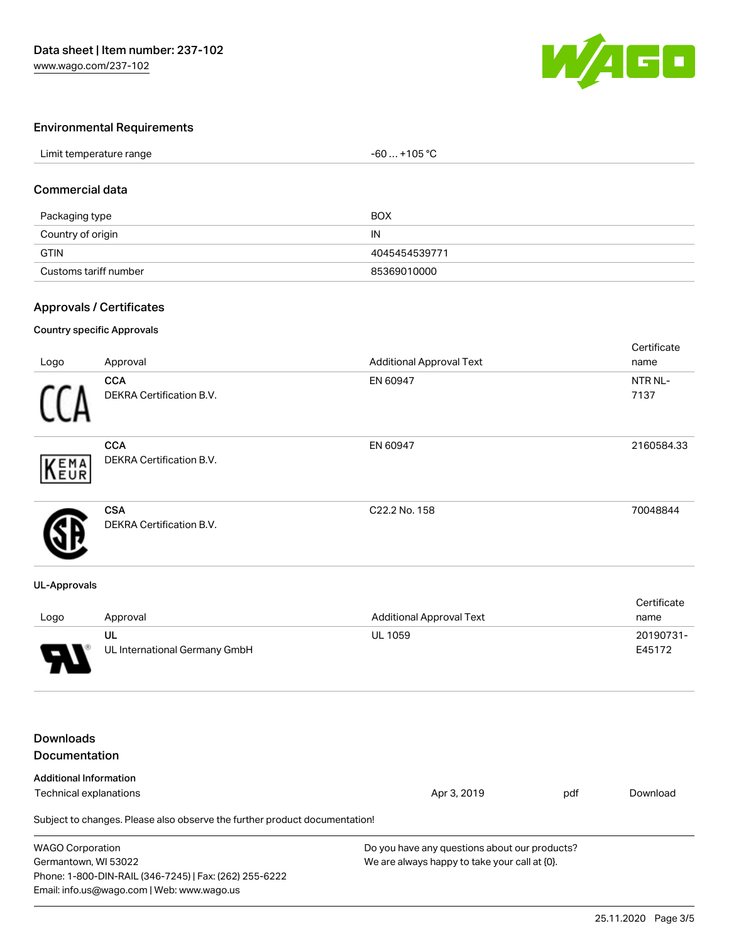

#### Environmental Requirements

| Limit temperature range | +105 °C<br>$-60$ |  |
|-------------------------|------------------|--|
|                         |                  |  |

#### Commercial data

| Packaging type        | <b>BOX</b>    |
|-----------------------|---------------|
| Country of origin     | IN            |
| <b>GTIN</b>           | 4045454539771 |
| Customs tariff number | 85369010000   |

#### Approvals / Certificates

#### Country specific Approvals

| Logo | Approval                                      | <b>Additional Approval Text</b> | Certificate<br>name |
|------|-----------------------------------------------|---------------------------------|---------------------|
|      | <b>CCA</b><br>DEKRA Certification B.V.        | EN 60947                        | NTR NL-<br>7137     |
| KEMA | <b>CCA</b><br><b>DEKRA Certification B.V.</b> | EN 60947                        | 2160584.33          |
|      | <b>CSA</b><br><b>DEKRA Certification B.V.</b> | C22.2 No. 158                   | 70048844            |

#### UL-Approvals

| Logo | Approval                      | <b>Additional Approval Text</b> | Certificate<br>name |
|------|-------------------------------|---------------------------------|---------------------|
|      | UL                            | <b>UL 1059</b>                  | 20190731-           |
| O    | UL International Germany GmbH |                                 | E45172              |

# Downloads

Email: info.us@wago.com | Web: www.wago.us

| <b>Documentation</b>                                                       |                                               |     |          |
|----------------------------------------------------------------------------|-----------------------------------------------|-----|----------|
| <b>Additional Information</b><br>Technical explanations                    | Apr 3, 2019                                   | pdf | Download |
| Subject to changes. Please also observe the further product documentation! |                                               |     |          |
| <b>WAGO Corporation</b>                                                    | Do you have any questions about our products? |     |          |
| Germantown, WI 53022                                                       | We are always happy to take your call at {0}. |     |          |
| Phone: 1-800-DIN-RAIL (346-7245)   Fax: (262) 255-6222                     |                                               |     |          |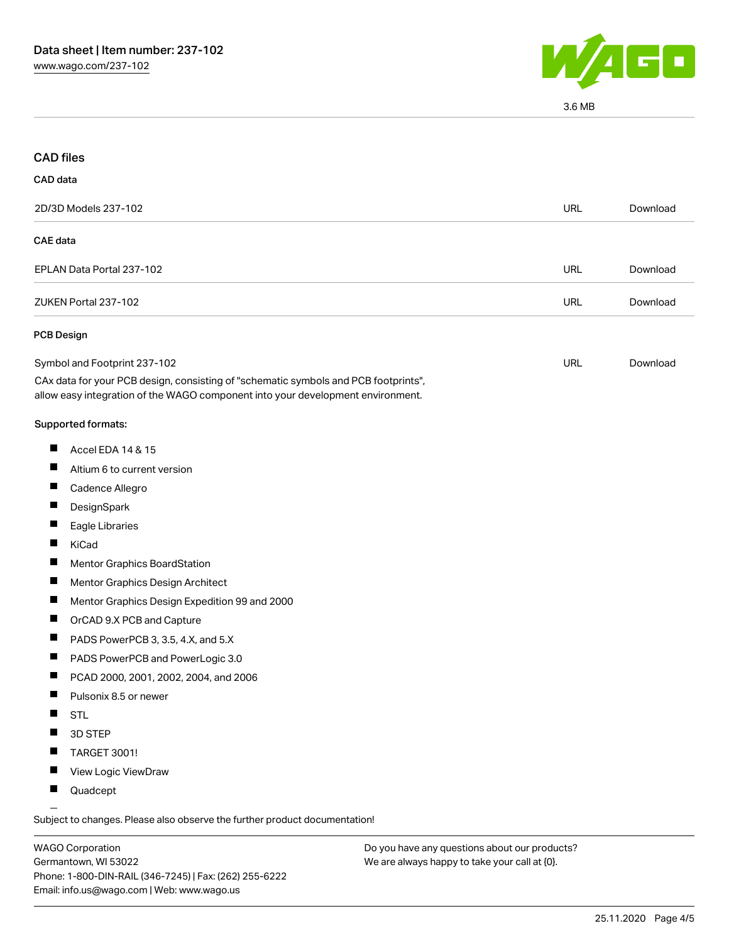

3.6 MB

| <b>CAD files</b>                                                                                                                                                       |            |          |
|------------------------------------------------------------------------------------------------------------------------------------------------------------------------|------------|----------|
| CAD data                                                                                                                                                               |            |          |
| 2D/3D Models 237-102                                                                                                                                                   | <b>URL</b> | Download |
| <b>CAE</b> data                                                                                                                                                        |            |          |
| EPLAN Data Portal 237-102                                                                                                                                              | URL        | Download |
| ZUKEN Portal 237-102                                                                                                                                                   | <b>URL</b> | Download |
| <b>PCB Design</b>                                                                                                                                                      |            |          |
| Symbol and Footprint 237-102                                                                                                                                           | URL        | Download |
| CAx data for your PCB design, consisting of "schematic symbols and PCB footprints",<br>allow easy integration of the WAGO component into your development environment. |            |          |
| Supported formats:                                                                                                                                                     |            |          |
| Ш<br>Accel EDA 14 & 15                                                                                                                                                 |            |          |
| ш<br>Altium 6 to current version                                                                                                                                       |            |          |
| ш<br>Cadence Allegro                                                                                                                                                   |            |          |
| DesignSpark                                                                                                                                                            |            |          |
| ш<br>Eagle Libraries                                                                                                                                                   |            |          |
| Ш<br>KiCad                                                                                                                                                             |            |          |
| Mentor Graphics BoardStation                                                                                                                                           |            |          |
| ш<br>Mentor Graphics Design Architect                                                                                                                                  |            |          |
| ш<br>Mentor Graphics Design Expedition 99 and 2000                                                                                                                     |            |          |
| OrCAD 9.X PCB and Capture                                                                                                                                              |            |          |
| ш<br>PADS PowerPCB 3, 3.5, 4.X, and 5.X                                                                                                                                |            |          |
| ш<br>PADS PowerPCB and PowerLogic 3.0                                                                                                                                  |            |          |
| PCAD 2000, 2001, 2002, 2004, and 2006<br><b>The State</b>                                                                                                              |            |          |
| Pulsonix 8.5 or newer                                                                                                                                                  |            |          |
| <b>STL</b>                                                                                                                                                             |            |          |
| П<br>3D STEP                                                                                                                                                           |            |          |
| TARGET 3001!<br>ш                                                                                                                                                      |            |          |
| View Logic ViewDraw                                                                                                                                                    |            |          |
| Quadcept                                                                                                                                                               |            |          |
|                                                                                                                                                                        |            |          |

.<br>Subject to changes. Please also observe the further product documentation!

WAGO Corporation Germantown, WI 53022 Phone: 1-800-DIN-RAIL (346-7245) | Fax: (262) 255-6222 Email: info.us@wago.com | Web: www.wago.us

Do you have any questions about our products? We are always happy to take your call at {0}.